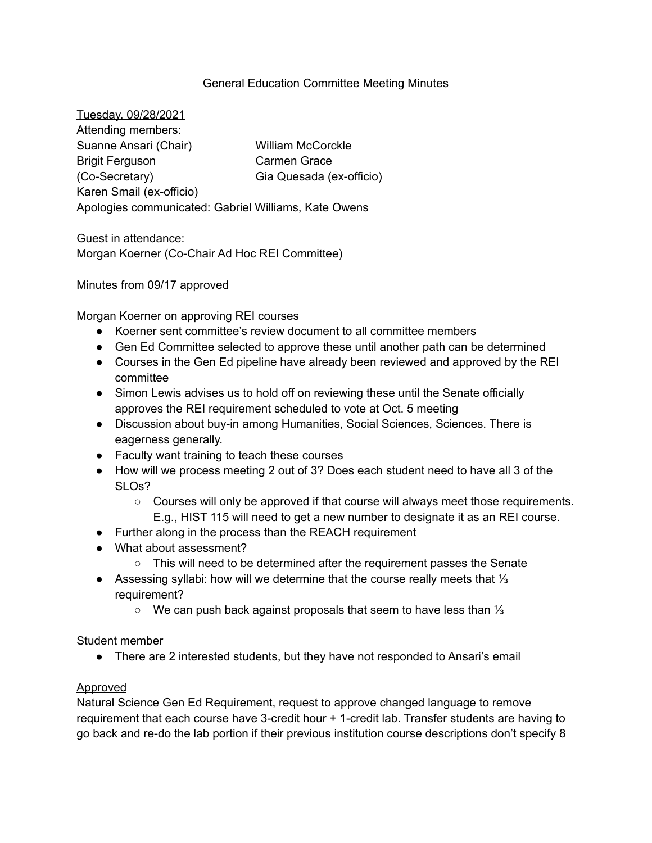### General Education Committee Meeting Minutes

Tuesday, 09/28/2021 Attending members: Suanne Ansari (Chair) Brigit Ferguson (Co-Secretary) Karen Smail (ex-officio) William McCorckle Carmen Grace Gia Quesada (ex-officio) Apologies communicated: Gabriel Williams, Kate Owens

Guest in attendance: Morgan Koerner (Co-Chair Ad Hoc REI Committee)

Minutes from 09/17 approved

Morgan Koerner on approving REI courses

- Koerner sent committee's review document to all committee members
- Gen Ed Committee selected to approve these until another path can be determined
- Courses in the Gen Ed pipeline have already been reviewed and approved by the REI committee
- Simon Lewis advises us to hold off on reviewing these until the Senate officially approves the REI requirement scheduled to vote at Oct. 5 meeting
- Discussion about buy-in among Humanities, Social Sciences, Sciences. There is eagerness generally.
- Faculty want training to teach these courses
- How will we process meeting 2 out of 3? Does each student need to have all 3 of the SLOs?
	- Courses will only be approved if that course will always meet those requirements. E.g., HIST 115 will need to get a new number to designate it as an REI course.
- Further along in the process than the REACH requirement
- What about assessment?
	- This will need to be determined after the requirement passes the Senate
- Assessing syllabi: how will we determine that the course really meets that 1/3 requirement?
	- We can push back against proposals that seem to have less than ⅓

Student member

● There are 2 interested students, but they have not responded to Ansari's email

#### Approved

Natural Science Gen Ed Requirement, request to approve changed language to remove requirement that each course have 3-credit hour + 1-credit lab. Transfer students are having to go back and re-do the lab portion if their previous institution course descriptions don't specify 8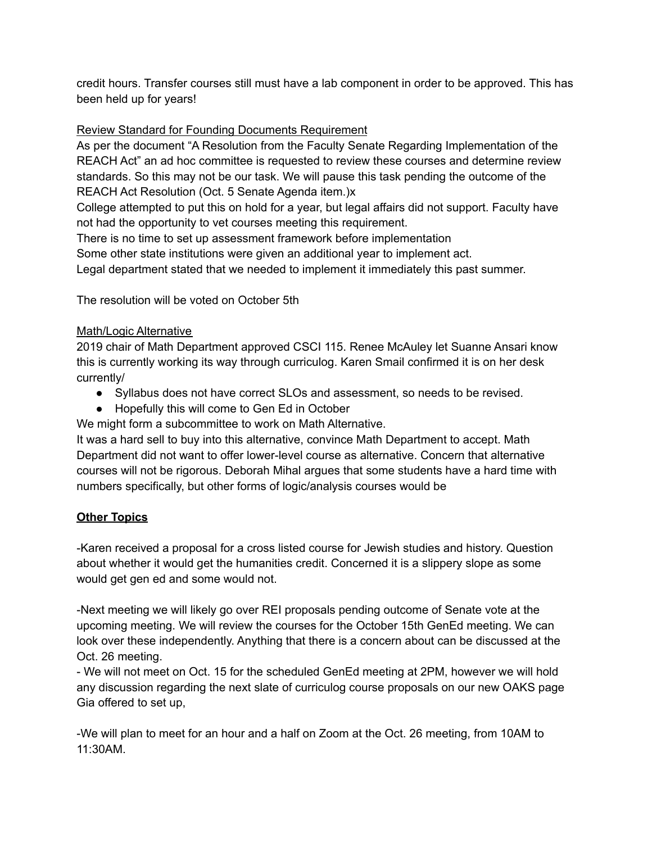credit hours. Transfer courses still must have a lab component in order to be approved. This has been held up for years!

# Review Standard for Founding Documents Requirement

As per the document "A Resolution from the Faculty Senate Regarding Implementation of the REACH Act" an ad hoc committee is requested to review these courses and determine review standards. So this may not be our task. We will pause this task pending the outcome of the REACH Act Resolution (Oct. 5 Senate Agenda item.)x

College attempted to put this on hold for a year, but legal affairs did not support. Faculty have not had the opportunity to vet courses meeting this requirement.

There is no time to set up assessment framework before implementation

Some other state institutions were given an additional year to implement act.

Legal department stated that we needed to implement it immediately this past summer.

The resolution will be voted on October 5th

### Math/Logic Alternative

2019 chair of Math Department approved CSCI 115. Renee McAuley let Suanne Ansari know this is currently working its way through curriculog. Karen Smail confirmed it is on her desk currently/

- Syllabus does not have correct SLOs and assessment, so needs to be revised.
- Hopefully this will come to Gen Ed in October

We might form a subcommittee to work on Math Alternative.

It was a hard sell to buy into this alternative, convince Math Department to accept. Math Department did not want to offer lower-level course as alternative. Concern that alternative courses will not be rigorous. Deborah Mihal argues that some students have a hard time with numbers specifically, but other forms of logic/analysis courses would be

## **Other Topics**

-Karen received a proposal for a cross listed course for Jewish studies and history. Question about whether it would get the humanities credit. Concerned it is a slippery slope as some would get gen ed and some would not.

-Next meeting we will likely go over REI proposals pending outcome of Senate vote at the upcoming meeting. We will review the courses for the October 15th GenEd meeting. We can look over these independently. Anything that there is a concern about can be discussed at the Oct. 26 meeting.

- We will not meet on Oct. 15 for the scheduled GenEd meeting at 2PM, however we will hold any discussion regarding the next slate of curriculog course proposals on our new OAKS page Gia offered to set up,

-We will plan to meet for an hour and a half on Zoom at the Oct. 26 meeting, from 10AM to 11:30AM.